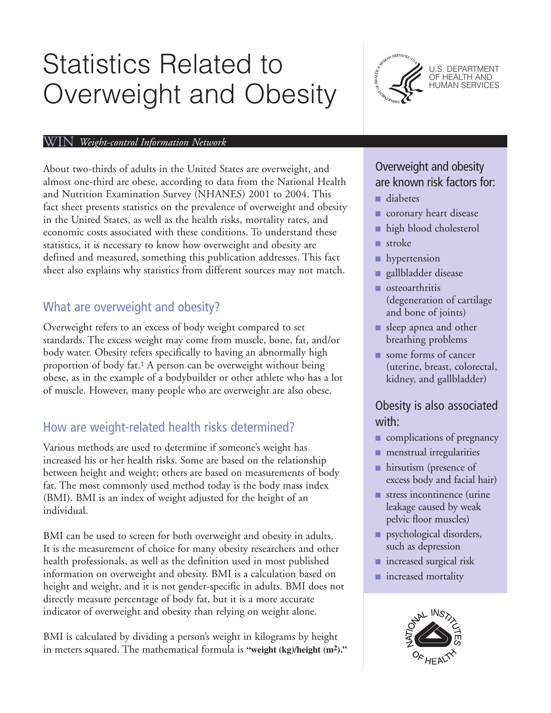# Statistics Related to Overweight and Obesity



#### WIN *Weight-control Information Network*

About two-thirds of adults in the United States are overweight, and almost one-third are obese, according to data from the National Health and Nutrition Examination Survey (NHANES) 2001 to 2004. This fact sheet presents statistics on the prevalence of overweight and obesity in the United States, as well as the health risks, mortality rates, and economic costs associated with these conditions. To understand these statistics, it is necessary to know how overweight and obesity are defined and measured, something this publication addresses. This fact sheet also explains why statistics from different sources may not match.

#### What are overweight and obesity?

Overweight refers to an excess of body weight compared to set standards. The excess weight may come from muscle, bone, fat, and/or body water. Obesity refers specifically to having an abnormally high proportion of body fat.1 A person can be overweight without being obese, as in the example of a bodybuilder or other athlete who has a lot of muscle. However, many people who are overweight are also obese.

#### How are weight-related health risks determined?

Various methods are used to determine if someone's weight has increased his or her health risks. Some are based on the relationship between height and weight; others are based on measurements of body fat. The most commonly used method today is the body mass index (BMI). BMI is an index of weight adjusted for the height of an individual.

BMI can be used to screen for both overweight and obesity in adults. It is the measurement of choice for many obesity researchers and other health professionals, as well as the definition used in most published information on overweight and obesity. BMI is a calculation based on height and weight, and it is not gender-specific in adults. BMI does not directly measure percentage of body fat, but it is a more accurate indicator of overweight and obesity than relying on weight alone.

BMI is calculated by dividing a person's weight in kilograms by height in meters squared. The mathematical formula is **"weight (kg)/height (m2)."**

# Overweight and obesity are known risk factors for:

- diabetes
- coronary heart disease
- high blood cholesterol
- stroke
- hypertension
- gallbladder disease
- osteoarthritis (degeneration of cartilage and bone of joints)
- sleep apnea and other breathing problems
- some forms of cancer (uterine, breast, colorectal, kidney, and gallbladder)

# Obesity is also associated with:

- complications of pregnancy
- menstrual irregularities
- hirsutism (presence of excess body and facial hair)
- stress incontinence (urine leakage caused by weak pelvic floor muscles)
- psychological disorders, such as depression
- increased surgical risk
- increased mortality

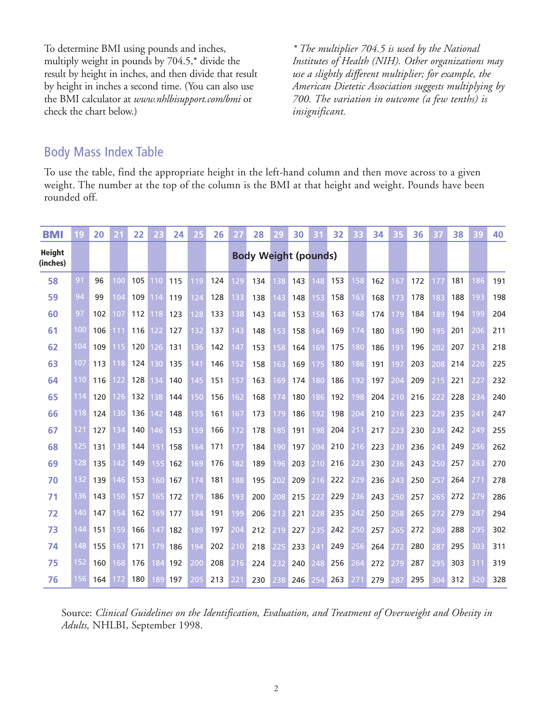To determine BMI using pounds and inches, multiply weight in pounds by 704.5,\* divide the result by height in inches, and then divide that result by height in inches a second time. (You can also use the BMI calculator at *www.nhlbisupport.com/bmi* or check the chart below.)

*\* The multiplier 704.5 is used by the National Institutes of Health (NIH). Other organizations may use a slightly different multiplier; for example, the American Dietetic Association suggests multiplying by 700. The variation in outcome (a few tenths) is insignificant.*

#### Body Mass Index Table

To use the table, find the appropriate height in the left-hand column and then move across to a given weight. The number at the top of the column is the BMI at that height and weight. Pounds have been rounded off.

| <b>BMI</b>                | 19  | 20  | 21  | 22  | 23  | 24  | 25  | 26  | 27  | 28                          | 29  | 30  | 31  | 32  | 33  | 34  | 35  | 36  | 37  | 38  | 39  | 40  |
|---------------------------|-----|-----|-----|-----|-----|-----|-----|-----|-----|-----------------------------|-----|-----|-----|-----|-----|-----|-----|-----|-----|-----|-----|-----|
| <b>Height</b><br>(inches) |     |     |     |     |     |     |     |     |     | <b>Body Weight (pounds)</b> |     |     |     |     |     |     |     |     |     |     |     |     |
| 58                        | 91  | 96  | 100 | 105 | 110 | 115 | 119 | 124 | 129 | 134                         | 138 | 143 | 148 | 153 | 158 | 162 | 167 | 172 | 177 | 181 | 186 | 191 |
| 59                        | 94  | 99  | 104 | 109 | 114 | 119 | 124 | 128 | 133 | 138                         | 143 | 148 | 153 | 158 | 163 | 168 | 173 | 178 | 183 | 188 | 193 | 198 |
| 60                        | 97  | 102 | 107 | 112 | 118 | 123 | 128 | 133 | 138 | 143                         | 148 | 153 | 158 | 163 | 168 | 174 | 179 | 184 | 189 | 194 | 199 | 204 |
| 61                        | 100 | 106 | 111 | 116 | 122 | 127 | 132 | 137 | 143 | 148                         | 153 | 158 | 164 | 169 | 174 | 180 | 185 | 190 | 195 | 201 | 206 | 211 |
| 62                        | 104 | 109 | 115 | 120 | 126 | 131 | 136 | 142 | 147 | 153                         | 158 | 164 | 169 | 175 | 180 | 186 | 191 | 196 | 202 | 207 | 213 | 218 |
| 63                        | 107 | 113 | 118 | 124 | 130 | 135 | 141 | 146 | 152 | 158                         | 163 | 169 | 175 | 180 | 186 | 191 | 197 | 203 | 208 | 214 | 220 | 225 |
| 64                        | 110 | 116 | 122 | 128 | 134 | 140 | 145 | 151 | 157 | 163                         | 169 | 174 | 180 | 186 | 192 | 197 | 204 | 209 | 215 | 221 | 227 | 232 |
| 65                        | 114 | 120 | 126 | 132 | 138 | 144 | 150 | 156 | 162 | 168                         | 174 | 180 | 186 | 192 | 198 | 204 | 210 | 216 | 222 | 228 | 234 | 240 |
| 66                        | 118 | 124 | 130 | 136 | 142 | 148 | 155 | 161 | 167 | 173                         | 179 | 186 | 192 | 198 | 204 | 210 | 216 | 223 | 229 | 235 | 241 | 247 |
| 67                        | 121 | 127 | 134 | 140 | 146 | 153 | 159 | 166 | 172 | 178                         | 185 | 191 | 198 | 204 | 211 | 217 | 223 | 230 | 236 | 242 | 249 | 255 |
| 68                        | 125 | 131 | 138 | 144 | 151 | 158 | 164 | 171 | 177 | 184                         | 190 | 197 | 204 | 210 | 216 | 223 | 230 | 236 | 243 | 249 | 256 | 262 |
| 69                        | 128 | 135 | 142 | 149 | 155 | 162 | 169 | 176 | 182 | 189                         | 196 | 203 | 210 | 216 | 223 | 230 | 236 | 243 | 250 | 257 | 263 | 270 |
| 70                        | 132 | 139 | 146 | 153 | 160 | 167 | 174 | 181 | 188 | 195                         | 202 | 209 | 216 | 222 | 229 | 236 | 243 | 250 | 257 | 264 | 271 | 278 |
| 71                        | 136 | 143 | 150 | 157 | 165 | 172 | 179 | 186 | 193 | 200                         | 208 | 215 | 222 | 229 | 236 | 243 | 250 | 257 | 265 | 272 | 279 | 286 |
| 72                        | 140 | 147 | 154 | 162 | 169 | 177 | 184 | 191 | 199 | 206                         | 213 | 221 | 228 | 235 | 242 | 250 | 258 | 265 | 272 | 279 | 287 | 294 |
| 73                        | 144 | 151 | 159 | 166 | 147 | 182 | 189 | 197 | 204 | 212                         | 219 | 227 | 235 | 242 | 250 | 257 | 265 | 272 | 280 | 288 | 295 | 302 |
| 74                        | 148 | 155 | 163 | 171 | 179 | 186 | 194 | 202 | 210 | 218                         | 225 | 233 | 241 | 249 | 256 | 264 | 272 | 280 | 287 | 295 | 303 | 311 |
| 75                        | 152 | 160 | 168 | 176 | 184 | 192 | 200 | 208 | 216 | 224                         | 232 | 240 | 248 | 256 | 264 | 272 | 279 | 287 | 295 | 303 | 311 | 319 |
| 76                        | 156 | 164 | 172 | 180 | 189 | 197 | 205 | 213 | 221 | 230                         | 238 | 246 | 254 | 263 | 271 | 279 | 287 | 295 | 304 | 312 | 320 | 328 |

Source: *Clinical Guidelines on the Identification, Evaluation, and Treatment of Overweight and Obesity in Adults,* NHLBI, September 1998.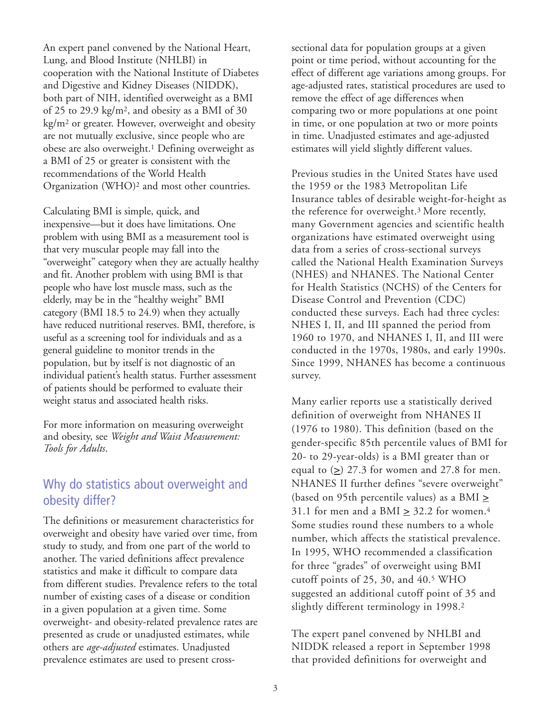An expert panel convened by the National Heart, Lung, and Blood Institute (NHLBI) in cooperation with the National Institute of Diabetes and Digestive and Kidney Diseases (NIDDK), both part of NIH, identified overweight as a BMI of 25 to 29.9 kg/m2, and obesity as a BMI of 30 kg/m2 or greater. However, overweight and obesity are not mutually exclusive, since people who are obese are also overweight.<sup>1</sup> Defining overweight as a BMI of 25 or greater is consistent with the recommendations of the World Health Organization (WHO)2 and most other countries.

Calculating BMI is simple, quick, and inexpensive—but it does have limitations. One problem with using BMI as a measurement tool is that very muscular people may fall into the "overweight" category when they are actually healthy and fit. Another problem with using BMI is that people who have lost muscle mass, such as the elderly, may be in the "healthy weight" BMI category (BMI 18.5 to 24.9) when they actually have reduced nutritional reserves. BMI, therefore, is useful as a screening tool for individuals and as a general guideline to monitor trends in the population, but by itself is not diagnostic of an individual patient's health status. Further assessment of patients should be performed to evaluate their weight status and associated health risks.

For more information on measuring overweight and obesity, see *Weight and Waist Measurement: Tools for Adults*.

#### Why do statistics about overweight and obesity differ?

The definitions or measurement characteristics for overweight and obesity have varied over time, from study to study, and from one part of the world to another. The varied definitions affect prevalence statistics and make it difficult to compare data from different studies. Prevalence refers to the total number of existing cases of a disease or condition in a given population at a given time. Some overweight- and obesity-related prevalence rates are presented as crude or unadjusted estimates, while others are *age-adjusted* estimates. Unadjusted prevalence estimates are used to present crosssectional data for population groups at a given point or time period, without accounting for the effect of different age variations among groups. For age-adjusted rates, statistical procedures are used to remove the effect of age differences when comparing two or more populations at one point in time, or one population at two or more points in time. Unadjusted estimates and age-adjusted estimates will yield slightly different values.

Previous studies in the United States have used the 1959 or the 1983 Metropolitan Life Insurance tables of desirable weight-for-height as the reference for overweight.3 More recently, many Government agencies and scientific health organizations have estimated overweight using data from a series of cross-sectional surveys called the National Health Examination Surveys (NHES) and NHANES. The National Center for Health Statistics (NCHS) of the Centers for Disease Control and Prevention (CDC) conducted these surveys. Each had three cycles: NHES I, II, and III spanned the period from 1960 to 1970, and NHANES I, II, and III were conducted in the 1970s, 1980s, and early 1990s. Since 1999, NHANES has become a continuous survey.

Many earlier reports use a statistically derived definition of overweight from NHANES II (1976 to 1980). This definition (based on the gender-specific 85th percentile values of BMI for 20- to 29-year-olds) is a BMI greater than or equal to  $(2)$  27.3 for women and 27.8 for men. NHANES II further defines "severe overweight" (based on 95th percentile values) as a BMI **>** 31.1 for men and a BMI **>** 32.2 for women.4 Some studies round these numbers to a whole number, which affects the statistical prevalence. In 1995, WHO recommended a classification for three "grades" of overweight using BMI cutoff points of 25, 30, and 40.5 WHO suggested an additional cutoff point of 35 and slightly different terminology in 1998.<sup>2</sup>

The expert panel convened by NHLBI and NIDDK released a report in September 1998 that provided definitions for overweight and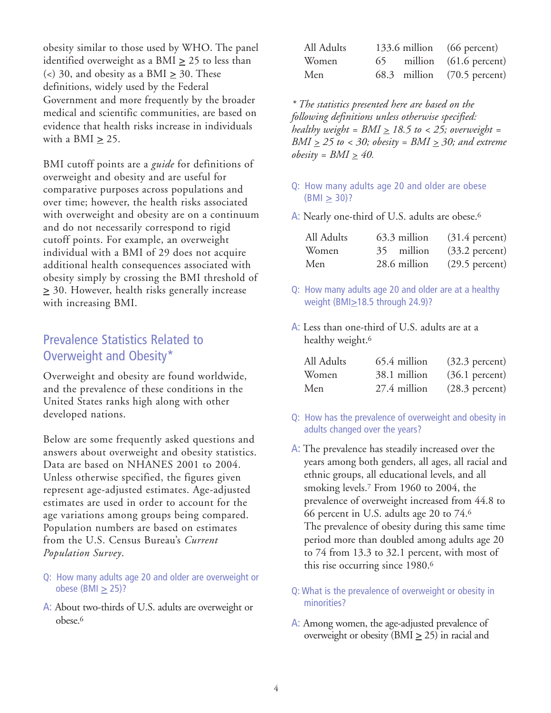obesity similar to those used by WHO. The panel identified overweight as a BMI  $\geq$  25 to less than ( $\lt$ ) 30, and obesity as a BMI  $\geq$  30. These definitions, widely used by the Federal Government and more frequently by the broader medical and scientific communities, are based on evidence that health risks increase in individuals with a BMI **>** 25.

BMI cutoff points are a *guide* for definitions of overweight and obesity and are useful for comparative purposes across populations and over time; however, the health risks associated with overweight and obesity are on a continuum and do not necessarily correspond to rigid cutoff points. For example, an overweight individual with a BMI of 29 does not acquire additional health consequences associated with obesity simply by crossing the BMI threshold of **>** 30. However, health risks generally increase with increasing BMI.

### Prevalence Statistics Related to Overweight and Obesity\*

Overweight and obesity are found worldwide, and the prevalence of these conditions in the United States ranks high along with other developed nations.

Below are some frequently asked questions and answers about overweight and obesity statistics. Data are based on NHANES 2001 to 2004. Unless otherwise specified, the figures given represent age-adjusted estimates. Age-adjusted estimates are used in order to account for the age variations among groups being compared. Population numbers are based on estimates from the U.S. Census Bureau's *Current Population Survey*.

- Q: How many adults age 20 and older are overweight or obese (BMI **>** 25)?
- A: About two-thirds of U.S. adults are overweight or obese.6

| All Adults |  | 133.6 million (66 percent)  |
|------------|--|-----------------------------|
| Women      |  | 65 million (61.6 percent)   |
| Men        |  | 68.3 million (70.5 percent) |

*\* The statistics presented here are based on the following definitions unless otherwise specified: healthy weight = BMI > 18.5 to < 25; overweight = BMI*  $\geq$  25 to < 30; obesity = *BMI*  $\geq$  30; and extreme *obesity* =  $BMI \geq 40$ .

- Q: How many adults age 20 and older are obese (BMI **>** 30)?
- A: Nearly one-third of U.S. adults are obese.<sup>6</sup>

| All Adults | 63.3 million | $(31.4)$ percent) |
|------------|--------------|-------------------|
| Women      | 35 million   | $(33.2)$ percent) |
| Men        | 28.6 million | $(29.5)$ percent) |

- Q: How many adults age 20 and older are at a healthy weight (BMI**>**18.5 through 24.9)?
- A: Less than one-third of U.S. adults are at a healthy weight.<sup>6</sup>

| All Adults | 65.4 million | $(32.3)$ percent) |
|------------|--------------|-------------------|
| Women      | 38.1 million | $(36.1)$ percent) |
| Men        | 27.4 million | $(28.3)$ percent) |

- Q: How has the prevalence of overweight and obesity in adults changed over the years?
- A: The prevalence has steadily increased over the years among both genders, all ages, all racial and ethnic groups, all educational levels, and all smoking levels.7 From 1960 to 2004, the prevalence of overweight increased from 44.8 to 66 percent in U.S. adults age 20 to 74.6 The prevalence of obesity during this same time period more than doubled among adults age 20 to 74 from 13.3 to 32.1 percent, with most of this rise occurring since 1980.6
- Q: What is the prevalence of overweight or obesity in minorities?
- A: Among women, the age-adjusted prevalence of overweight or obesity (BMI  $\geq$  25) in racial and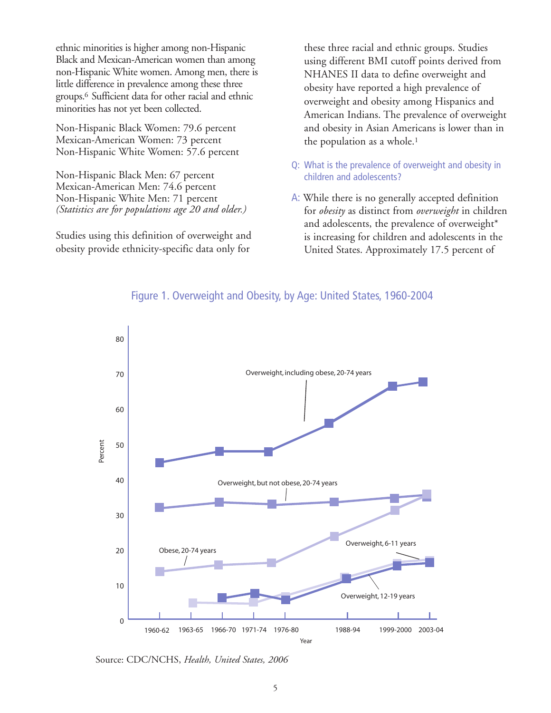ethnic minorities is higher among non-Hispanic Black and Mexican-American women than among non-Hispanic White women. Among men, there is little difference in prevalence among these three groups.6 Sufficient data for other racial and ethnic minorities has not yet been collected.

Non-Hispanic Black Women: 79.6 percent Mexican-American Women: 73 percent Non-Hispanic White Women: 57.6 percent

Non-Hispanic Black Men: 67 percent Mexican-American Men: 74.6 percent Non-Hispanic White Men: 71 percent *(Statistics are for populations age 20 and older.)* 

Studies using this definition of overweight and obesity provide ethnicity-specific data only for

these three racial and ethnic groups. Studies using different BMI cutoff points derived from NHANES II data to define overweight and obesity have reported a high prevalence of overweight and obesity among Hispanics and American Indians. The prevalence of overweight and obesity in Asian Americans is lower than in the population as a whole.1

- Q: What is the prevalence of overweight and obesity in children and adolescents?
- A: While there is no generally accepted definition for *obesity* as distinct from *overweight* in children and adolescents, the prevalence of overweight\* is increasing for children and adolescents in the United States. Approximately 17.5 percent of



#### Figure 1. Overweight and Obesity, by Age: United States, 1960-2004

Source: CDC/NCHS, *Health, United States, 2006*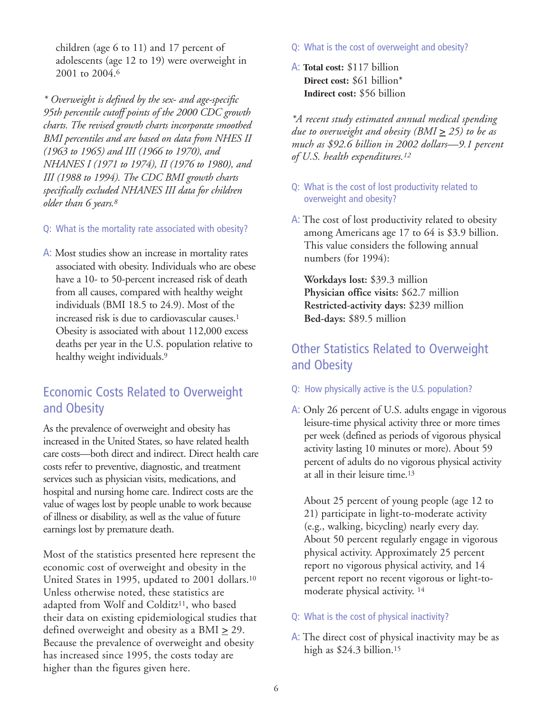children (age 6 to 11) and 17 percent of adolescents (age 12 to 19) were overweight in 2001 to 2004.<sup>6</sup>

*\* Overweight is defined by the sex- and age-specific 95th percentile cutoff points of the 2000 CDC growth charts. The revised growth charts incorporate smoothed BMI percentiles and are based on data from NHES II (1963 to 1965) and III (1966 to 1970), and NHANES I (1971 to 1974), II (1976 to 1980), and III (1988 to 1994). The CDC BMI growth charts specifically excluded NHANES III data for children older than 6 years.8*

- Q: What is the mortality rate associated with obesity?
- A: Most studies show an increase in mortality rates associated with obesity. Individuals who are obese have a 10- to 50-percent increased risk of death from all causes, compared with healthy weight individuals (BMI 18.5 to 24.9). Most of the increased risk is due to cardiovascular causes.1 Obesity is associated with about 112,000 excess deaths per year in the U.S. population relative to healthy weight individuals.<sup>9</sup>

# Economic Costs Related to Overweight and Obesity

As the prevalence of overweight and obesity has increased in the United States, so have related health care costs—both direct and indirect. Direct health care costs refer to preventive, diagnostic, and treatment services such as physician visits, medications, and hospital and nursing home care. Indirect costs are the value of wages lost by people unable to work because of illness or disability, as well as the value of future earnings lost by premature death.

Most of the statistics presented here represent the economic cost of overweight and obesity in the United States in 1995, updated to 2001 dollars.10 Unless otherwise noted, these statistics are adapted from Wolf and Colditz<sup>11</sup>, who based their data on existing epidemiological studies that defined overweight and obesity as a BMI **>** 29. Because the prevalence of overweight and obesity has increased since 1995, the costs today are higher than the figures given here.

- Q: What is the cost of overweight and obesity?
- A: **Total cost:** \$117 billion **Direct cost:** \$61 billion\* **Indirect cost:** \$56 billion

*\*A recent study estimated annual medical spending due to overweight and obesity (BMI*  $\geq$  *25) to be as much as \$92.6 billion in 2002 dollars—9.1 percent of U.S. health expenditures.12*

- Q: What is the cost of lost productivity related to overweight and obesity?
- A: The cost of lost productivity related to obesity among Americans age 17 to 64 is \$3.9 billion. This value considers the following annual numbers (for 1994):

**Workdays lost:** \$39.3 million **Physician office visits:** \$62.7 million **Restricted-activity days:** \$239 million **Bed-days:** \$89.5 million

# Other Statistics Related to Overweight and Obesity

- Q: How physically active is the U.S. population?
- A: Only 26 percent of U.S. adults engage in vigorous leisure-time physical activity three or more times per week (defined as periods of vigorous physical activity lasting 10 minutes or more). About 59 percent of adults do no vigorous physical activity at all in their leisure time.13

About 25 percent of young people (age 12 to 21) participate in light-to-moderate activity (e.g., walking, bicycling) nearly every day. About 50 percent regularly engage in vigorous physical activity. Approximately 25 percent report no vigorous physical activity, and 14 percent report no recent vigorous or light-tomoderate physical activity. <sup>14</sup>

- Q: What is the cost of physical inactivity?
- A: The direct cost of physical inactivity may be as high as \$24.3 billion.<sup>15</sup>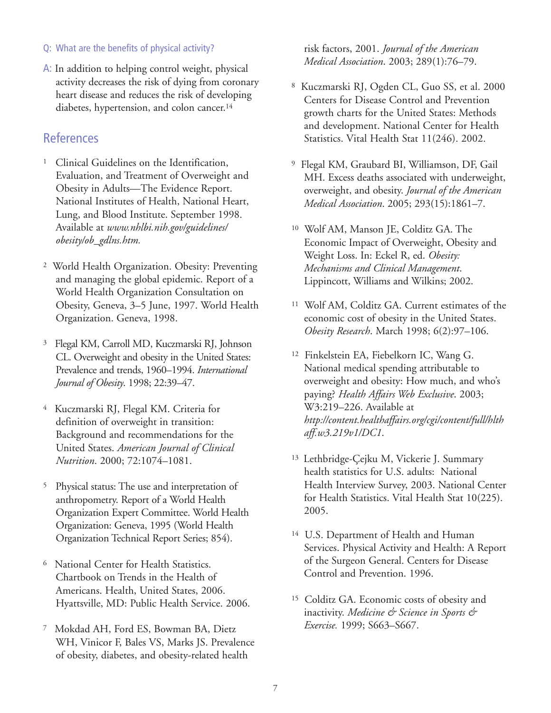#### Q: What are the benefits of physical activity?

A: In addition to helping control weight, physical activity decreases the risk of dying from coronary heart disease and reduces the risk of developing diabetes, hypertension, and colon cancer.14

#### **References**

- <sup>1</sup> Clinical Guidelines on the Identification, Evaluation, and Treatment of Overweight and Obesity in Adults—The Evidence Report. National Institutes of Health, National Heart, Lung, and Blood Institute. September 1998. Available at *www.nhlbi.nih.gov/guidelines/ obesity/ob\_gdlns.htm.*
- <sup>2</sup> World Health Organization. Obesity: Preventing and managing the global epidemic. Report of a World Health Organization Consultation on Obesity, Geneva, 3–5 June, 1997. World Health Organization. Geneva, 1998.
- <sup>3</sup> Flegal KM, Carroll MD, Kuczmarski RJ, Johnson CL. Overweight and obesity in the United States: Prevalence and trends, 1960–1994. *International Journal of Obesity*. 1998; 22:39–47.
- <sup>4</sup> Kuczmarski RJ, Flegal KM. Criteria for definition of overweight in transition: Background and recommendations for the United States. *American Journal of Clinical Nutrition*. 2000; 72:1074–1081.
- <sup>5</sup> Physical status: The use and interpretation of anthropometry. Report of a World Health Organization Expert Committee. World Health Organization: Geneva, 1995 (World Health Organization Technical Report Series; 854).
- <sup>6</sup> National Center for Health Statistics. Chartbook on Trends in the Health of Americans. Health, United States, 2006. Hyattsville, MD: Public Health Service. 2006.
- <sup>7</sup> Mokdad AH, Ford ES, Bowman BA, Dietz WH, Vinicor F, Bales VS, Marks JS. Prevalence of obesity, diabetes, and obesity-related health

risk factors, 2001. *Journal of the American Medical Association*. 2003; 289(1):76–79.

- <sup>8</sup> Kuczmarski RJ, Ogden CL, Guo SS, et al. 2000 Centers for Disease Control and Prevention growth charts for the United States: Methods and development. National Center for Health Statistics. Vital Health Stat 11(246). 2002.
- <sup>9</sup> Flegal KM, Graubard BI, Williamson, DF, Gail MH. Excess deaths associated with underweight, overweight, and obesity. *Journal of the American Medical Association*. 2005; 293(15):1861–7.
- <sup>10</sup> Wolf AM, Manson JE, Colditz GA. The Economic Impact of Overweight, Obesity and Weight Loss. In: Eckel R, ed. *Obesity: Mechanisms and Clinical Management*. Lippincott, Williams and Wilkins; 2002.
- <sup>11</sup> Wolf AM, Colditz GA. Current estimates of the economic cost of obesity in the United States. *Obesity Research*. March 1998; 6(2):97–106.
- <sup>12</sup> Finkelstein EA, Fiebelkorn IC, Wang G. National medical spending attributable to overweight and obesity: How much, and who's paying? *Health Affairs Web Exclusive*. 2003; W3:219–226. Available at *http://content.healthaffairs.org/cgi/content/full/hlth aff.w3.219v1/DC1*.
- 13 Lethbridge-Çejku M, Vickerie J. Summary health statistics for U.S. adults: National Health Interview Survey, 2003. National Center for Health Statistics. Vital Health Stat 10(225). 2005.
- <sup>14</sup> U.S. Department of Health and Human Services. Physical Activity and Health: A Report of the Surgeon General. Centers for Disease Control and Prevention. 1996.
- <sup>15</sup> Colditz GA. Economic costs of obesity and inactivity. *Medicine & Science in Sports & Exercise.* 1999; S663–S667.